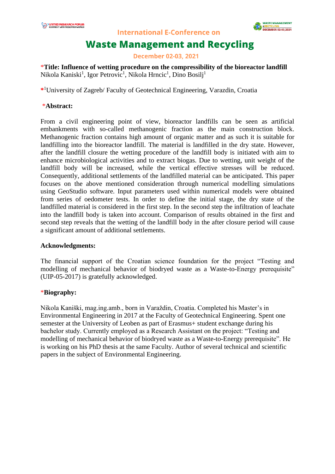

**International E-Conference on** 

# **Waste Management and Recycling**

**December 02-03, 2021** 

\***Title: Influence of wetting procedure on the compressibility of the bioreactor landfill** Nikola Kaniski<sup>1</sup>, Igor Petrovic<sup>1</sup>, Nikola Hrncic<sup>1</sup>, Dino Bosilj<sup>1</sup>

**\*** <sup>1</sup>University of Zagreb/ Faculty of Geotechnical Engineering, Varazdin, Croatia

### \***Abstract:**

From a civil engineering point of view, bioreactor landfills can be seen as artificial embankments with so-called methanogenic fraction as the main construction block. Methanogenic fraction contains high amount of organic matter and as such it is suitable for landfilling into the bioreactor landfill. The material is landfilled in the dry state. However, after the landfill closure the wetting procedure of the landfill body is initiated with aim to enhance microbiological activities and to extract biogas. Due to wetting, unit weight of the landfill body will be increased, while the vertical effective stresses will be reduced. Consequently, additional settlements of the landfilled material can be anticipated. This paper focuses on the above mentioned consideration through numerical modelling simulations using GeoStudio software. Input parameters used within numerical models were obtained from series of oedometer tests. In order to define the initial stage, the dry state of the landfilled material is considered in the first step. In the second step the infiltration of leachate into the landfill body is taken into account. Comparison of results obtained in the first and second step reveals that the wetting of the landfill body in the after closure period will cause a significant amount of additional settlements.

### **Acknowledgments:**

The financial support of the Croatian science foundation for the project "Testing and modelling of mechanical behavior of biodryed waste as a Waste-to-Energy prerequisite" (UIP-05-2017) is gratefully acknowledged.

### \***Biography:**

Nikola Kaniški, mag.ing.amb., born in Varaždin, Croatia. Completed his Master's in Environmental Engineering in 2017 at the Faculty of Geotechnical Engineering. Spent one semester at the University of Leoben as part of Erasmus+ student exchange during his bachelor study. Currently employed as a Research Assistant on the project: "Testing and modelling of mechanical behavior of biodryed waste as a Waste-to-Energy prerequisite". He is working on his PhD thesis at the same Faculty. Author of several technical and scientific papers in the subject of Environmental Engineering.